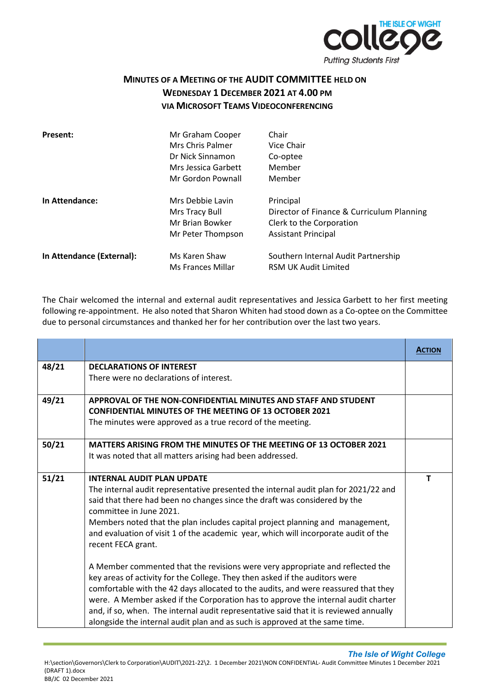

## **MINUTES OF A MEETING OF THE AUDIT COMMITTEE HELD ON WEDNESDAY 1 DECEMBER 2021 AT 4.00 PM VIA MICROSOFT TEAMS VIDEOCONFERENCING**

| Present:                  | Mr Graham Cooper<br>Mrs Chris Palmer<br>Dr Nick Sinnamon<br>Mrs Jessica Garbett<br>Mr Gordon Pownall | Chair<br>Vice Chair<br>Co-optee<br>Member<br>Member                                                              |
|---------------------------|------------------------------------------------------------------------------------------------------|------------------------------------------------------------------------------------------------------------------|
| In Attendance:            | Mrs Debbie Lavin<br>Mrs Tracy Bull<br>Mr Brian Bowker<br>Mr Peter Thompson                           | Principal<br>Director of Finance & Curriculum Planning<br>Clerk to the Corporation<br><b>Assistant Principal</b> |
| In Attendance (External): | Ms Karen Shaw<br>Ms Frances Millar                                                                   | Southern Internal Audit Partnership<br><b>RSM UK Audit Limited</b>                                               |

The Chair welcomed the internal and external audit representatives and Jessica Garbett to her first meeting following re-appointment. He also noted that Sharon Whiten had stood down as a Co-optee on the Committee due to personal circumstances and thanked her for her contribution over the last two years.

|       |                                                                                                      | <b>ACTION</b> |
|-------|------------------------------------------------------------------------------------------------------|---------------|
| 48/21 | <b>DECLARATIONS OF INTEREST</b>                                                                      |               |
|       | There were no declarations of interest.                                                              |               |
| 49/21 | APPROVAL OF THE NON-CONFIDENTIAL MINUTES AND STAFE AND STUDENT                                       |               |
|       | <b>CONFIDENTIAL MINUTES OF THE MEETING OF 13 OCTOBER 2021</b>                                        |               |
|       | The minutes were approved as a true record of the meeting.                                           |               |
| 50/21 | MATTERS ARISING FROM THE MINUTES OF THE MEETING OF 13 OCTOBER 2021                                   |               |
|       | It was noted that all matters arising had been addressed.                                            |               |
| 51/21 | <b>INTERNAL AUDIT PLAN UPDATE</b>                                                                    | $\mathbf T$   |
|       | The internal audit representative presented the internal audit plan for 2021/22 and                  |               |
|       | said that there had been no changes since the draft was considered by the<br>committee in June 2021. |               |
|       | Members noted that the plan includes capital project planning and management,                        |               |
|       | and evaluation of visit 1 of the academic year, which will incorporate audit of the                  |               |
|       | recent FECA grant.                                                                                   |               |
|       | A Member commented that the revisions were very appropriate and reflected the                        |               |
|       | key areas of activity for the College. They then asked if the auditors were                          |               |
|       | comfortable with the 42 days allocated to the audits, and were reassured that they                   |               |
|       | were. A Member asked if the Corporation has to approve the internal audit charter                    |               |
|       | and, if so, when. The internal audit representative said that it is reviewed annually                |               |
|       | alongside the internal audit plan and as such is approved at the same time.                          |               |

 *The Isle of Wight College*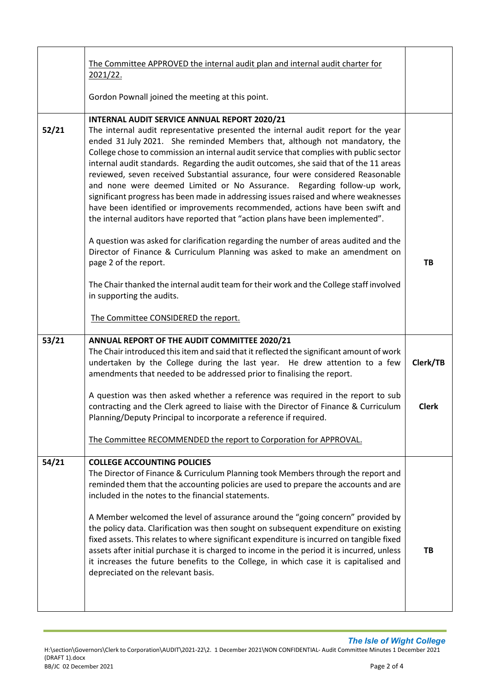| TB                                                                                                                                                                                                                                                                                                                                                                                                                                                                                                                                                                                                                                                                                                                                                                                                                                                                                                                                                                                                                                                                                                                                                                                                                                                                                                                                                                                                                                                                                                                                                                                                                                                                                                                                                                                                                                                                                                                                                                                                                                                                                                                                                                                          |
|---------------------------------------------------------------------------------------------------------------------------------------------------------------------------------------------------------------------------------------------------------------------------------------------------------------------------------------------------------------------------------------------------------------------------------------------------------------------------------------------------------------------------------------------------------------------------------------------------------------------------------------------------------------------------------------------------------------------------------------------------------------------------------------------------------------------------------------------------------------------------------------------------------------------------------------------------------------------------------------------------------------------------------------------------------------------------------------------------------------------------------------------------------------------------------------------------------------------------------------------------------------------------------------------------------------------------------------------------------------------------------------------------------------------------------------------------------------------------------------------------------------------------------------------------------------------------------------------------------------------------------------------------------------------------------------------------------------------------------------------------------------------------------------------------------------------------------------------------------------------------------------------------------------------------------------------------------------------------------------------------------------------------------------------------------------------------------------------------------------------------------------------------------------------------------------------|
|                                                                                                                                                                                                                                                                                                                                                                                                                                                                                                                                                                                                                                                                                                                                                                                                                                                                                                                                                                                                                                                                                                                                                                                                                                                                                                                                                                                                                                                                                                                                                                                                                                                                                                                                                                                                                                                                                                                                                                                                                                                                                                                                                                                             |
|                                                                                                                                                                                                                                                                                                                                                                                                                                                                                                                                                                                                                                                                                                                                                                                                                                                                                                                                                                                                                                                                                                                                                                                                                                                                                                                                                                                                                                                                                                                                                                                                                                                                                                                                                                                                                                                                                                                                                                                                                                                                                                                                                                                             |
| Clerk/TB                                                                                                                                                                                                                                                                                                                                                                                                                                                                                                                                                                                                                                                                                                                                                                                                                                                                                                                                                                                                                                                                                                                                                                                                                                                                                                                                                                                                                                                                                                                                                                                                                                                                                                                                                                                                                                                                                                                                                                                                                                                                                                                                                                                    |
| <b>Clerk</b>                                                                                                                                                                                                                                                                                                                                                                                                                                                                                                                                                                                                                                                                                                                                                                                                                                                                                                                                                                                                                                                                                                                                                                                                                                                                                                                                                                                                                                                                                                                                                                                                                                                                                                                                                                                                                                                                                                                                                                                                                                                                                                                                                                                |
|                                                                                                                                                                                                                                                                                                                                                                                                                                                                                                                                                                                                                                                                                                                                                                                                                                                                                                                                                                                                                                                                                                                                                                                                                                                                                                                                                                                                                                                                                                                                                                                                                                                                                                                                                                                                                                                                                                                                                                                                                                                                                                                                                                                             |
|                                                                                                                                                                                                                                                                                                                                                                                                                                                                                                                                                                                                                                                                                                                                                                                                                                                                                                                                                                                                                                                                                                                                                                                                                                                                                                                                                                                                                                                                                                                                                                                                                                                                                                                                                                                                                                                                                                                                                                                                                                                                                                                                                                                             |
| TB                                                                                                                                                                                                                                                                                                                                                                                                                                                                                                                                                                                                                                                                                                                                                                                                                                                                                                                                                                                                                                                                                                                                                                                                                                                                                                                                                                                                                                                                                                                                                                                                                                                                                                                                                                                                                                                                                                                                                                                                                                                                                                                                                                                          |
| The internal audit representative presented the internal audit report for the year<br>ended 31 July 2021. She reminded Members that, although not mandatory, the<br>College chose to commission an internal audit service that complies with public sector<br>internal audit standards. Regarding the audit outcomes, she said that of the 11 areas<br>reviewed, seven received Substantial assurance, four were considered Reasonable<br>and none were deemed Limited or No Assurance. Regarding follow-up work,<br>significant progress has been made in addressing issues raised and where weaknesses<br>have been identified or improvements recommended, actions have been swift and<br>the internal auditors have reported that "action plans have been implemented".<br>A question was asked for clarification regarding the number of areas audited and the<br>Director of Finance & Curriculum Planning was asked to make an amendment on<br>The Chair thanked the internal audit team for their work and the College staff involved<br>The Chair introduced this item and said that it reflected the significant amount of work<br>undertaken by the College during the last year. He drew attention to a few<br>amendments that needed to be addressed prior to finalising the report.<br>A question was then asked whether a reference was required in the report to sub<br>contracting and the Clerk agreed to liaise with the Director of Finance & Curriculum<br>The Committee RECOMMENDED the report to Corporation for APPROVAL.<br>The Director of Finance & Curriculum Planning took Members through the report and<br>reminded them that the accounting policies are used to prepare the accounts and are<br>A Member welcomed the level of assurance around the "going concern" provided by<br>the policy data. Clarification was then sought on subsequent expenditure on existing<br>fixed assets. This relates to where significant expenditure is incurred on tangible fixed<br>assets after initial purchase it is charged to income in the period it is incurred, unless<br>it increases the future benefits to the College, in which case it is capitalised and |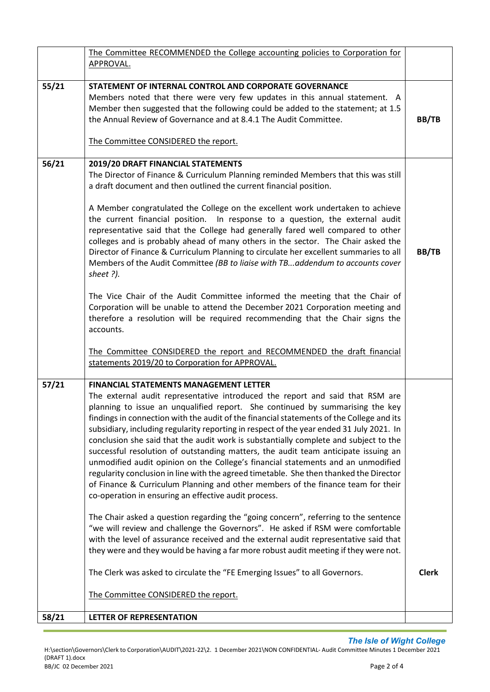|       | The Committee RECOMMENDED the College accounting policies to Corporation for                                                                                                                                                                                                                                                                                                                                                                                                                                                                                                                                                                                                                                                                                                                                                                                                                                                                                                                                                                                                                                                                                                     |              |
|-------|----------------------------------------------------------------------------------------------------------------------------------------------------------------------------------------------------------------------------------------------------------------------------------------------------------------------------------------------------------------------------------------------------------------------------------------------------------------------------------------------------------------------------------------------------------------------------------------------------------------------------------------------------------------------------------------------------------------------------------------------------------------------------------------------------------------------------------------------------------------------------------------------------------------------------------------------------------------------------------------------------------------------------------------------------------------------------------------------------------------------------------------------------------------------------------|--------------|
|       | APPROVAL.                                                                                                                                                                                                                                                                                                                                                                                                                                                                                                                                                                                                                                                                                                                                                                                                                                                                                                                                                                                                                                                                                                                                                                        |              |
| 55/21 | STATEMENT OF INTERNAL CONTROL AND CORPORATE GOVERNANCE<br>Members noted that there were very few updates in this annual statement. A<br>Member then suggested that the following could be added to the statement; at 1.5<br>the Annual Review of Governance and at 8.4.1 The Audit Committee.<br>The Committee CONSIDERED the report.                                                                                                                                                                                                                                                                                                                                                                                                                                                                                                                                                                                                                                                                                                                                                                                                                                            | BB/TB        |
| 56/21 | 2019/20 DRAFT FINANCIAL STATEMENTS<br>The Director of Finance & Curriculum Planning reminded Members that this was still<br>a draft document and then outlined the current financial position.<br>A Member congratulated the College on the excellent work undertaken to achieve<br>the current financial position. In response to a question, the external audit<br>representative said that the College had generally fared well compared to other<br>colleges and is probably ahead of many others in the sector. The Chair asked the<br>Director of Finance & Curriculum Planning to circulate her excellent summaries to all<br>Members of the Audit Committee (BB to liaise with TBaddendum to accounts cover<br>sheet ?).<br>The Vice Chair of the Audit Committee informed the meeting that the Chair of<br>Corporation will be unable to attend the December 2021 Corporation meeting and<br>therefore a resolution will be required recommending that the Chair signs the<br>accounts.                                                                                                                                                                                 | BB/TB        |
|       | The Committee CONSIDERED the report and RECOMMENDED the draft financial<br>statements 2019/20 to Corporation for APPROVAL.                                                                                                                                                                                                                                                                                                                                                                                                                                                                                                                                                                                                                                                                                                                                                                                                                                                                                                                                                                                                                                                       |              |
| 57/21 | <b>FINANCIAL STATEMENTS MANAGEMENT LETTER</b><br>The external audit representative introduced the report and said that RSM are<br>planning to issue an unqualified report. She continued by summarising the key<br>findings in connection with the audit of the financial statements of the College and its<br>subsidiary, including regularity reporting in respect of the year ended 31 July 2021. In<br>conclusion she said that the audit work is substantially complete and subject to the<br>successful resolution of outstanding matters, the audit team anticipate issuing an<br>unmodified audit opinion on the College's financial statements and an unmodified<br>regularity conclusion in line with the agreed timetable. She then thanked the Director<br>of Finance & Curriculum Planning and other members of the finance team for their<br>co-operation in ensuring an effective audit process.<br>The Chair asked a question regarding the "going concern", referring to the sentence<br>"we will review and challenge the Governors". He asked if RSM were comfortable<br>with the level of assurance received and the external audit representative said that |              |
|       | they were and they would be having a far more robust audit meeting if they were not.<br>The Clerk was asked to circulate the "FE Emerging Issues" to all Governors.                                                                                                                                                                                                                                                                                                                                                                                                                                                                                                                                                                                                                                                                                                                                                                                                                                                                                                                                                                                                              | <b>Clerk</b> |
|       | The Committee CONSIDERED the report.                                                                                                                                                                                                                                                                                                                                                                                                                                                                                                                                                                                                                                                                                                                                                                                                                                                                                                                                                                                                                                                                                                                                             |              |
| 58/21 | LETTER OF REPRESENTATION                                                                                                                                                                                                                                                                                                                                                                                                                                                                                                                                                                                                                                                                                                                                                                                                                                                                                                                                                                                                                                                                                                                                                         |              |

*The Isle of Wight College*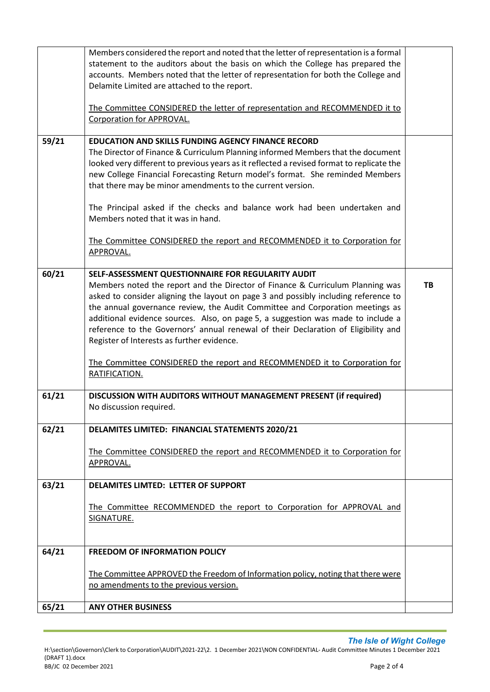|       | Members considered the report and noted that the letter of representation is a formal<br>statement to the auditors about the basis on which the College has prepared the<br>accounts. Members noted that the letter of representation for both the College and<br>Delamite Limited are attached to the report.                                                                                                                                                                                                                                                                                                    |    |
|-------|-------------------------------------------------------------------------------------------------------------------------------------------------------------------------------------------------------------------------------------------------------------------------------------------------------------------------------------------------------------------------------------------------------------------------------------------------------------------------------------------------------------------------------------------------------------------------------------------------------------------|----|
|       | The Committee CONSIDERED the letter of representation and RECOMMENDED it to<br>Corporation for APPROVAL.                                                                                                                                                                                                                                                                                                                                                                                                                                                                                                          |    |
| 59/21 | <b>EDUCATION AND SKILLS FUNDING AGENCY FINANCE RECORD</b><br>The Director of Finance & Curriculum Planning informed Members that the document<br>looked very different to previous years as it reflected a revised format to replicate the<br>new College Financial Forecasting Return model's format. She reminded Members<br>that there may be minor amendments to the current version.<br>The Principal asked if the checks and balance work had been undertaken and                                                                                                                                           |    |
|       | Members noted that it was in hand.<br>The Committee CONSIDERED the report and RECOMMENDED it to Corporation for<br>APPROVAL.                                                                                                                                                                                                                                                                                                                                                                                                                                                                                      |    |
| 60/21 | SELF-ASSESSMENT QUESTIONNAIRE FOR REGULARITY AUDIT<br>Members noted the report and the Director of Finance & Curriculum Planning was<br>asked to consider aligning the layout on page 3 and possibly including reference to<br>the annual governance review, the Audit Committee and Corporation meetings as<br>additional evidence sources. Also, on page 5, a suggestion was made to include a<br>reference to the Governors' annual renewal of their Declaration of Eligibility and<br>Register of Interests as further evidence.<br>The Committee CONSIDERED the report and RECOMMENDED it to Corporation for | TB |
| 61/21 | RATIFICATION.<br>DISCUSSION WITH AUDITORS WITHOUT MANAGEMENT PRESENT (if required)<br>No discussion required.                                                                                                                                                                                                                                                                                                                                                                                                                                                                                                     |    |
| 62/21 | DELAMITES LIMITED: FINANCIAL STATEMENTS 2020/21                                                                                                                                                                                                                                                                                                                                                                                                                                                                                                                                                                   |    |
|       | The Committee CONSIDERED the report and RECOMMENDED it to Corporation for<br>APPROVAL.                                                                                                                                                                                                                                                                                                                                                                                                                                                                                                                            |    |
| 63/21 | <b>DELAMITES LIMTED: LETTER OF SUPPORT</b>                                                                                                                                                                                                                                                                                                                                                                                                                                                                                                                                                                        |    |
|       | The Committee RECOMMENDED the report to Corporation for APPROVAL and<br>SIGNATURE.                                                                                                                                                                                                                                                                                                                                                                                                                                                                                                                                |    |
| 64/21 | <b>FREEDOM OF INFORMATION POLICY</b>                                                                                                                                                                                                                                                                                                                                                                                                                                                                                                                                                                              |    |
|       | The Committee APPROVED the Freedom of Information policy, noting that there were<br>no amendments to the previous version.                                                                                                                                                                                                                                                                                                                                                                                                                                                                                        |    |
| 65/21 | <b>ANY OTHER BUSINESS</b>                                                                                                                                                                                                                                                                                                                                                                                                                                                                                                                                                                                         |    |
|       |                                                                                                                                                                                                                                                                                                                                                                                                                                                                                                                                                                                                                   |    |